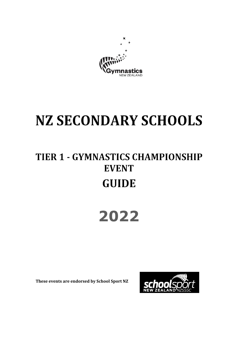

# **NZ SECONDARY SCHOOLS**

### **TIER 1 - GYMNASTICS CHAMPIONSHIP EVENT GUIDE**

## **2022**

 **These events are endorsed by School Sport NZ** 

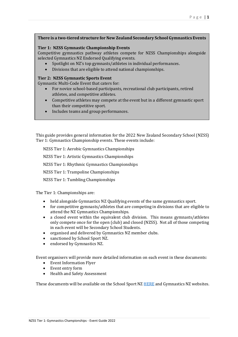#### **There is a two-tiered structure for New Zealand Secondary School Gymnastics Events**

#### **Tier 1: NZSS Gymnastic Championship Events**

Competitive gymnastics pathway athletes compete for NZSS Championships alongside selected Gymnastics NZ Endorsed Qualifying events.

- Spotlight on NZ's top gymnasts/athletes in individual performances.
- Divisions that are eligible to attend national championships.

#### **Tier 2: NZSS Gymnastic Sports Event**

Gymnastic Multi-Code Event that caters for:

- For novice school-based participants, recreational club participants, retired athletes, and competitive athletes.
- Competitive athletes may compete at the event but in a different gymnastic sport than their competitive sport.
- Includes teams and group performances.

This guide provides general information for the 2022 New Zealand Secondary School (NZSS) Tier 1: Gymnastics Championship events. These events include:

NZSS Tier 1: Aerobic Gymnastics Championships

NZSS Tier 1: Artistic Gymnastics Championships

NZSS Tier 1: Rhythmic Gymnastics Championships

NZSS Tier 1: Trampoline Championships

NZSS Tier 1: Tumbling Championships

The Tier 1: Championships are:

- held alongside Gymnastics NZ Qualifying events of the same gymnastics sport.
- for competitive gymnasts/athletes that are competing in divisions that are eligible to attend the NZ Gymnastics Championships.
- a closed event within the equivalent club division. This means gymnasts/athletes only compete once for the open (club) and closed (NZSS). Not all of those competing in each event will be Secondary School Students.
- organised and delivered by Gymnastics NZ member clubs.
- sanctioned by School Sport NZ.
- endorsed by Gymnastics NZ.

Event organisers will provide more detailed information on each event in these documents:

- Event Information Flyer
- Event entry form
- Health and Safety Assessment

These documents will be available on the School Sport NZ HERE and Gymnastics NZ websites.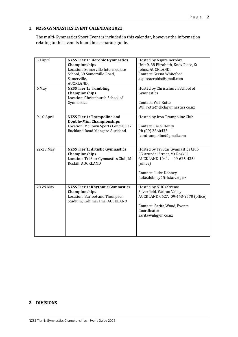#### **1. NZSS GYMNASTICS EVENT CALENDAR 2022**

The multi-Gymnastics Sport Event is included in this calendar, however the information relating to this event is found in a separate guide.

| 30 April   | <b>NZSS Tier 1: Aerobic Gymnastics</b>  | Hosted by Aspire Aerobix             |
|------------|-----------------------------------------|--------------------------------------|
|            | <b>Championships</b>                    | Unit 9, 88 Elizabeth, Knox Place, St |
|            | Location: Somerville Intermediate       | Johns, AUCKLAND:                     |
|            | School, 39 Somerville Road,             | Contact: Geena Whiteford             |
|            | Somerville,                             | aspireaerobix@gmail.com              |
|            | AUCKLAND,                               |                                      |
| 6 May      | <b>NZSS Tier 1: Tumbling</b>            | Hosted by Christchurch School of     |
|            | Championships                           | Gymnastics                           |
|            | Location: Christchurch School of        |                                      |
|            | Gymnastics                              | Contact: Will Rotte                  |
|            |                                         | Will.rotte@chchgymnastics.co.nz      |
|            |                                         |                                      |
| 9-10 April | <b>NZSS Tier 1: Trampoline and</b>      | Hosted by Icon Trampoline Club       |
|            | <b>Double-Mini Championships</b>        |                                      |
|            | Location: McCown Sports Centre, 137     | Contact: Carol Henry                 |
|            | <b>Buckland Road Mangere Auckland</b>   | Ph (09) 2560433                      |
|            |                                         | Icontrampoline@gmail.com             |
|            |                                         |                                      |
|            |                                         |                                      |
| 22-23 May  | <b>NZSS Tier 1: Artistic Gymnastics</b> | Hosted by Tri Star Gymnastics Club   |
|            | Championships                           | 55 Arundel Street, Mt Roskill,       |
|            | Location: Tri Star Gymnastics Club, Mt  | AUCKLAND 1041. 09-625-4354           |
|            |                                         |                                      |
|            | Roskill, AUCKLAND                       | (office)                             |
|            |                                         |                                      |
|            |                                         | Contact: Luke Dobney                 |
|            |                                         | Luke.dobney@tristar.org.nz           |
|            |                                         |                                      |
| 28 29 May  | <b>NZSS Tier 1: Rhythmic Gymnastics</b> | Hosted by NHG/Xtreme                 |
|            | Championships                           | Silverfield, Wairau Valley           |
|            | Location: Barfoot and Thompson          | AUCKLAND 0627. 09-443-2570 (office)  |
|            | Stadium, Kohimarama, AUCKLAND           |                                      |
|            |                                         | Contact: Sarita Wood, Events         |
|            |                                         | Coordinator                          |
|            |                                         | sarita@nhgym.co.nz                   |
|            |                                         |                                      |
|            |                                         |                                      |
|            |                                         |                                      |

#### **2. DIVISIONS**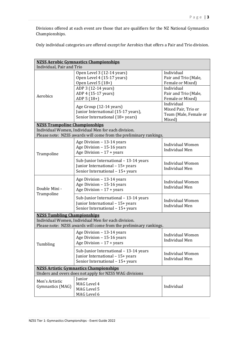Divisions offered at each event are those that are qualifiers for the NZ National Gymnastics Championships.

Only individual categories are offered except for Aerobics that offers a Pair and Trio division.

| <b>NZSS Aerobic Gymnastics Championships</b>                                                                                                                   |                                                                                                                |                                                                      |  |  |
|----------------------------------------------------------------------------------------------------------------------------------------------------------------|----------------------------------------------------------------------------------------------------------------|----------------------------------------------------------------------|--|--|
| Individual, Pair and Trio                                                                                                                                      |                                                                                                                |                                                                      |  |  |
| Aerobics                                                                                                                                                       | Open Level 3 (12-14 years)<br>Open Level 4 (15-17 years)<br>Open Level 5 (18+)                                 | Individual<br>Pair and Trio (Male,<br>Female or Mixed)               |  |  |
|                                                                                                                                                                | ADP 3 (12-14 years)<br>ADP 4 (15-17 years)<br>ADP 5 (18+)                                                      | Individual<br>Pair and Trio (Male,<br>Female or Mixed)               |  |  |
|                                                                                                                                                                | Age Group (12-14 years)<br>Junior International (15-17 years),<br>Senior International (18+ years)             | Individual<br>Mixed Pair, Trio or<br>Team (Male, Female or<br>Mixed) |  |  |
| <b>NZSS Trampoline Championships</b>                                                                                                                           |                                                                                                                |                                                                      |  |  |
|                                                                                                                                                                | Individual Women, Individual Men for each division.                                                            |                                                                      |  |  |
|                                                                                                                                                                | Please note: NZSS awards will come from the preliminary rankings.                                              |                                                                      |  |  |
| Trampoline                                                                                                                                                     | Age Division - 13-14 years<br>Age Division - 15-16 years<br>Age Division $-17 + \text{years}$                  | <b>Individual Women</b><br><b>Individual Men</b>                     |  |  |
|                                                                                                                                                                | Sub-Junior International - 13-14 years<br>Junior International - 15+ years<br>Senior International - 15+ years | <b>Individual Women</b><br><b>Individual Men</b>                     |  |  |
| Double Mini -                                                                                                                                                  | Age Division - 13-14 years<br>Age Division - 15-16 years<br>Age Division $-17 + years$                         | <b>Individual Women</b><br><b>Individual Men</b>                     |  |  |
| Trampoline                                                                                                                                                     | Sub-Junior International - 13-14 years<br>Junior International - 15+ years<br>Senior International - 15+ years | <b>Individual Women</b><br><b>Individual Men</b>                     |  |  |
| <b>NZSS Tumbling Championships</b><br>Individual Women, Individual Men for each division.<br>Please note: NZSS awards will come from the preliminary rankings. |                                                                                                                |                                                                      |  |  |
| Tumbling                                                                                                                                                       | Age Division - 13-14 years<br>Age Division - 15-16 years<br>Age Division $-17 + years$                         | <b>Individual Women</b><br><b>Individual Men</b>                     |  |  |
|                                                                                                                                                                | Sub-Junior International - 13-14 years<br>Junior International - 15+ years<br>Senior International - 15+ years | <b>Individual Women</b><br><b>Individual Men</b>                     |  |  |
| <b>NZSS Artistic Gymnastics Championships</b>                                                                                                                  |                                                                                                                |                                                                      |  |  |
| Unders and overs does not apply for NZSS WAG divisions                                                                                                         |                                                                                                                |                                                                      |  |  |
| Men's Artistic<br>Gymnastics (MAG)                                                                                                                             | Junior<br>MAG Level 4<br>MAG Level 5<br>MAG Level 6                                                            | Individual                                                           |  |  |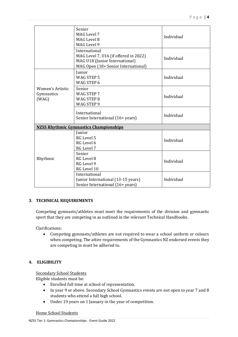|                                                | Senior<br>MAG Level 7<br>MAG Level 8<br>MAG Level 9                                                                             | Individual |  |  |
|------------------------------------------------|---------------------------------------------------------------------------------------------------------------------------------|------------|--|--|
|                                                | International<br>MAG Level 7, U16 (if offered in 2022)<br>MAG U18 (Junior International)<br>MAG Open (18+ Senior International) | Individual |  |  |
| <b>Women's Artistic</b><br>Gymnastics<br>(WAG) | Junior<br><b>WAG STEP 5</b><br>WAG STEP 6                                                                                       | Individual |  |  |
|                                                | Senior<br>WAG STEP 7<br>WAG STEP 8<br>WAG STEP 9                                                                                | Individual |  |  |
|                                                | International<br>Senior International (16+ years)                                                                               | Individual |  |  |
| <b>NZSS Rhythmic Gymnastics Championships</b>  |                                                                                                                                 |            |  |  |
| Rhythmic                                       | Junior<br>RG Level 5<br>RG Level 6<br>RG Level 7                                                                                | Individual |  |  |
|                                                | Senior<br>RG Level 8<br>RG Level 9<br>RG Level 10                                                                               | Individual |  |  |
|                                                | International<br>Junior International (13-15 years)<br>Senior International (16+ years)                                         | Individual |  |  |

#### **3. TECHNICAL REQUIREMENTS**

Competing gymnasts/athletes must meet the requirements of the division and gymnastic sport that they are competing in as outlined in the relevant Technical Handbooks.

Clarifications:

• Competing gymnasts/athletes are not required to wear a school uniform or colours when competing. The attire requirements of the Gymnastics NZ endorsed events they are competing in must be adhered to.

#### **4. ELIGIBILITY**

**Secondary School Students** 

Eligible students must be:

- Enrolled full time at school of representation.
- In year 9 or above. Secondary School Gymnastics events are not open to year 7 and 8 students who attend a full high school.
- Under 19 years on 1 January in the year of competition.

Home School Students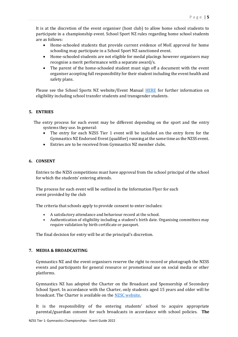It is at the discretion of the event organiser (host club) to allow home school students to participate in a championship event. School Sport NZ rules regarding home school students are as follows:

- Home-schooled students that provide current evidence of MoE approval for home schooling may participate in a School Sport NZ sanctioned event.
- Home-schooled students are not eligible for medal placings however organisers may recognise a merit performance with a separate award/s.
- The parent of the home-schooled student must sign off a document with the event organiser accepting full responsibility for their student including the event health and safety plans.

Please see the School Sports NZ website/Event Manual HERE for further information on eligibility including school transfer students and transgender students.

#### **5. ENTRIES**

 The entry process for each event may be different depending on the sport and the entry systems they use. In general:

- The entry for each NZSS Tier 1 event will be included on the entry form for the Gymnastics NZ Endorsed Event(qualifier) running at the same time as the NZSS event.
- Entries are to be received from Gymnastics NZ member clubs.

#### **6. CONSENT**

Entries to the NZSS competitions must have approval from the school principal of the school for which the students' entering attends.

The process for each event will be outlined in the Information Flyer for each event provided by the club

The criteria that schools apply to provide consent to enter includes:

- A satisfactory attendance and behaviour record at the school.
- Authentication of eligibility including a student's birth date. Organising committees may require validation by birth certificate or passport.

The final decision for entry will be at the principal's discretion.

#### **7. MEDIA & BROADCASTING**

Gymnastics NZ and the event organisers reserve the right to record or photograph the NZSS events and participants for general resource or promotional use on social media or other platforms.

Gymnastics NZ has adopted the Charter on the Broadcast and Sponsorship of Secondary School Sport. In accordance with the Charter, only students aged 15 years and older will be broadcast. The Charter is available on the NZSC website.

It is the responsibility of the entering students' school to acquire appropriate parental/guardian consent for such broadcasts in accordance with school policies. **The**